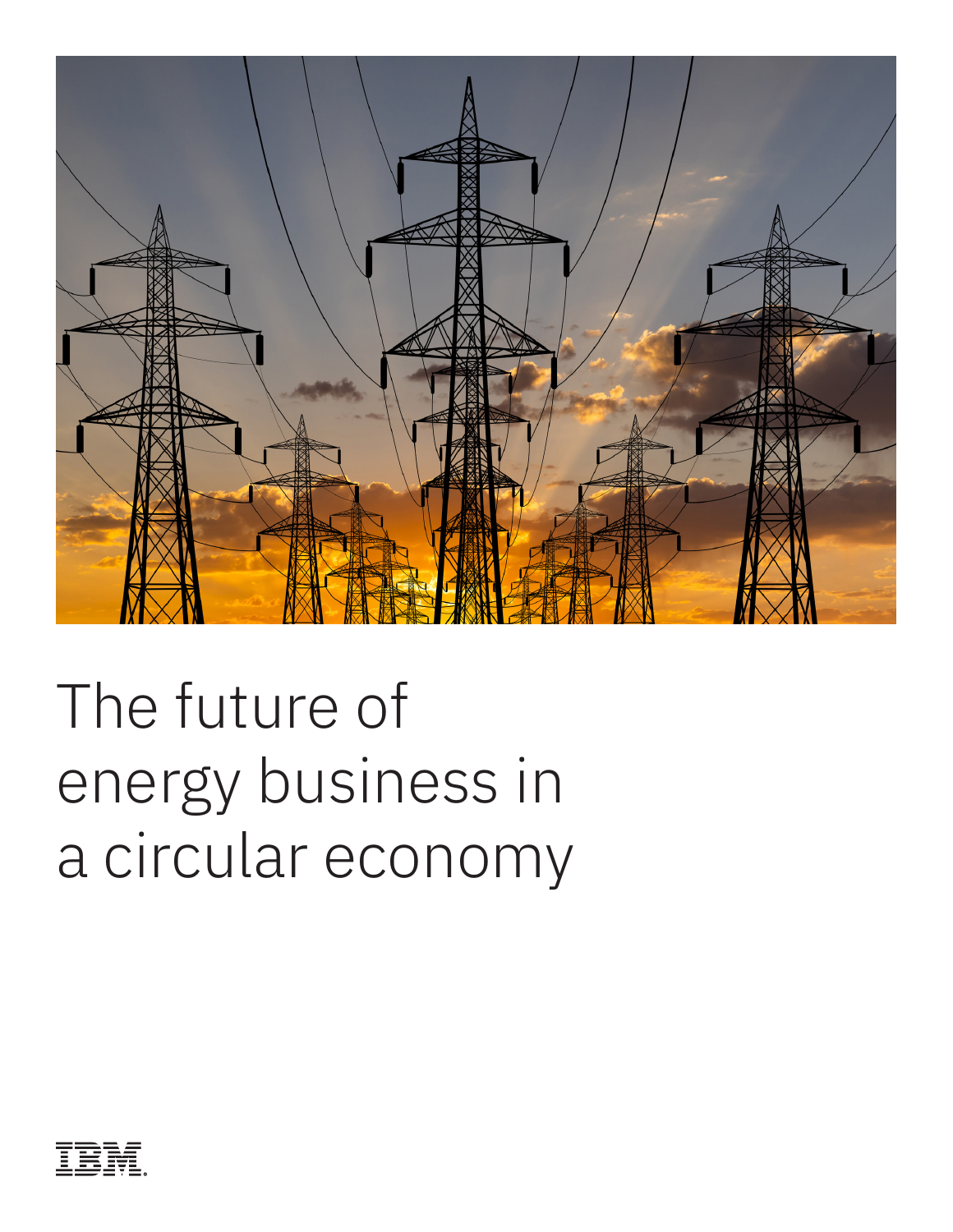

# The future of energy business in a circular economy

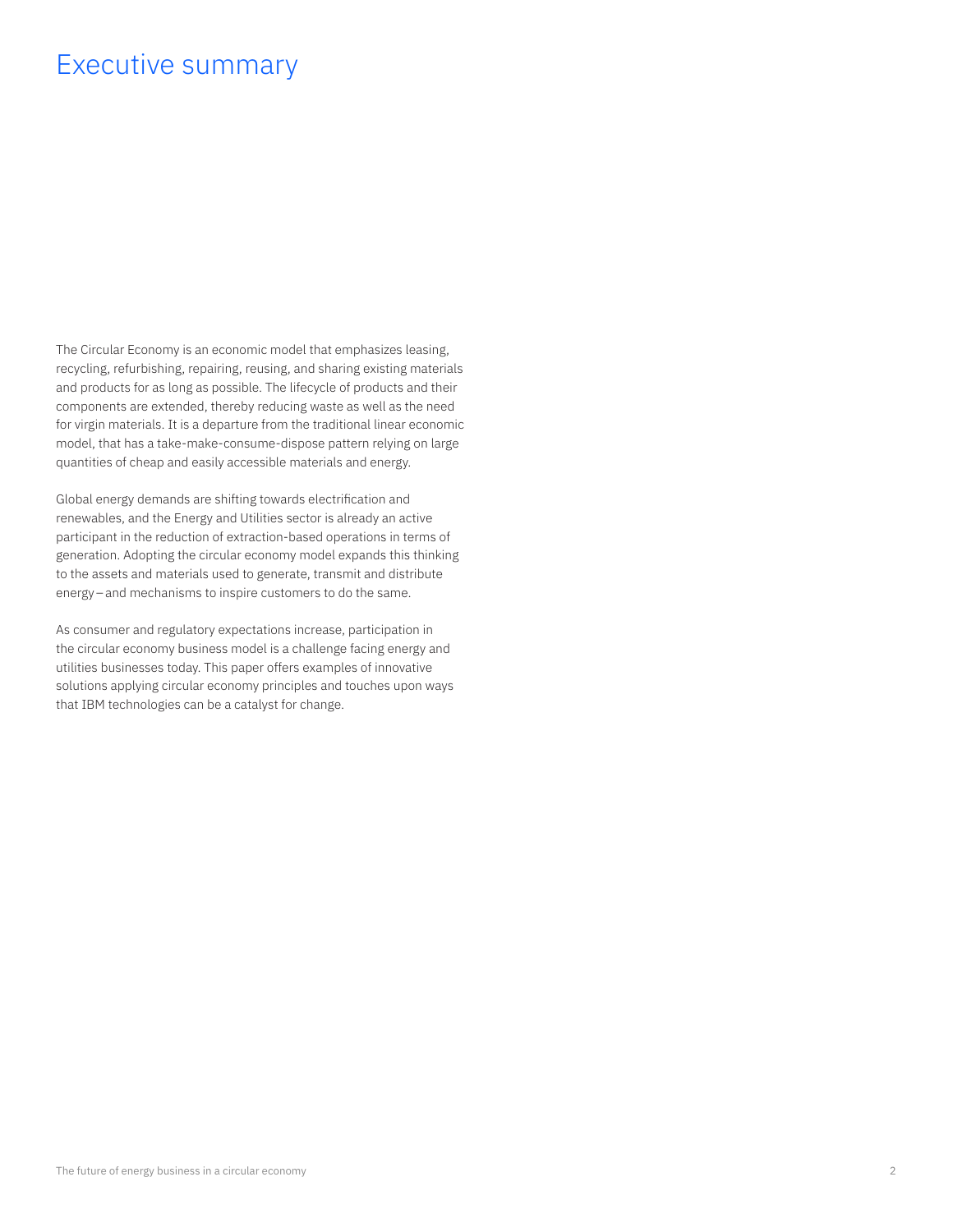#### Executive summary

The Circular Economy is an economic model that emphasizes leasing, recycling, refurbishing, repairing, reusing, and sharing existing materials and products for as long as possible. The lifecycle of products and their components are extended, thereby reducing waste as well as the need for virgin materials. It is a departure from the traditional linear economic model, that has a take-make-consume-dispose pattern relying on large quantities of cheap and easily accessible materials and energy.

Global energy demands are shifting towards electrification and renewables, and the Energy and Utilities sector is already an active participant in the reduction of extraction-based operations in terms of generation. Adopting the circular economy model expands this thinking to the assets and materials used to generate, transmit and distribute energy–and mechanisms to inspire customers to do the same.

As consumer and regulatory expectations increase, participation in the circular economy business model is a challenge facing energy and utilities businesses today. This paper offers examples of innovative solutions applying circular economy principles and touches upon ways that IBM technologies can be a catalyst for change.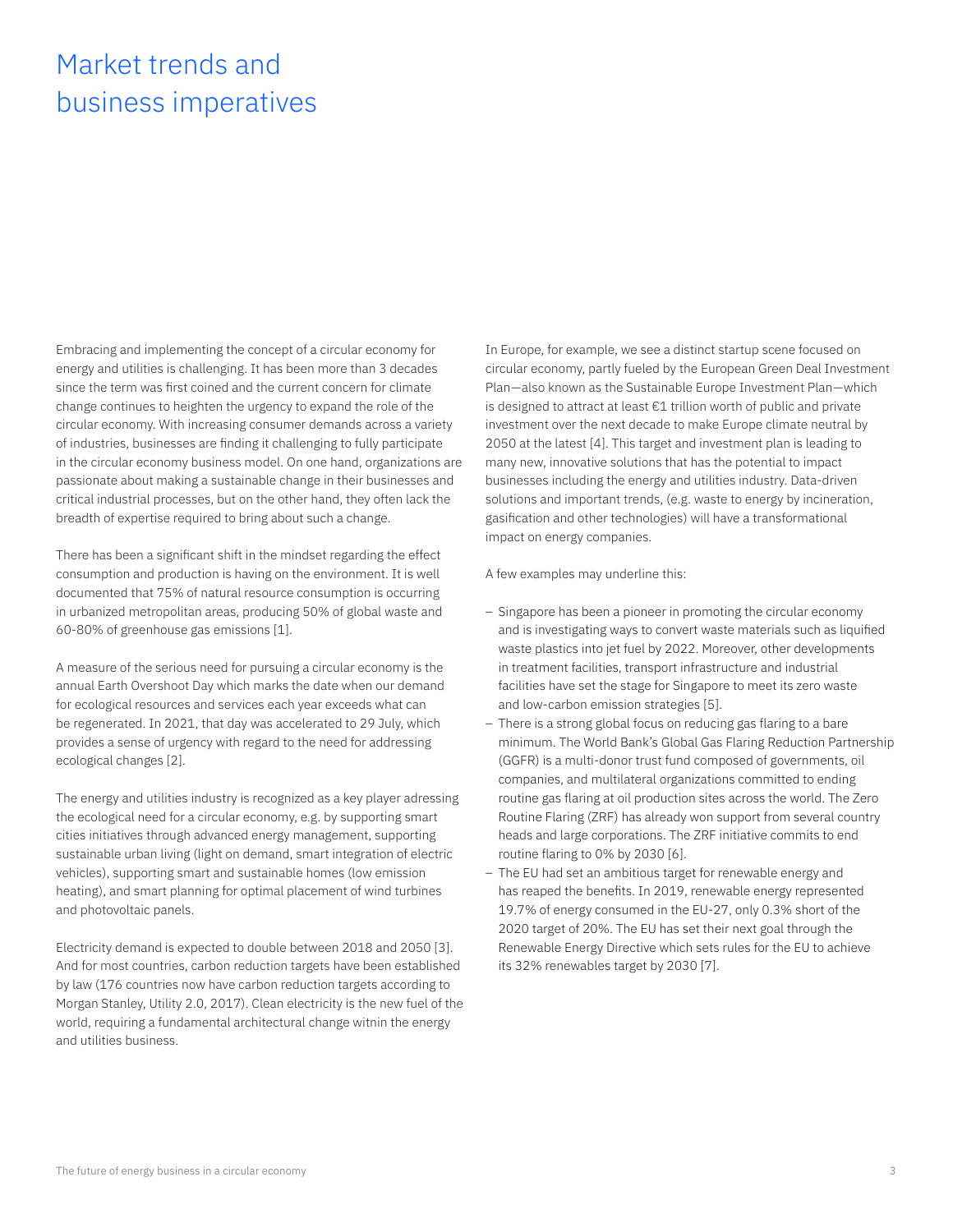# Market trends and business imperatives

Embracing and implementing the concept of a circular economy for energy and utilities is challenging. It has been more than 3 decades since the term was first coined and the current concern for climate change continues to heighten the urgency to expand the role of the circular economy. With increasing consumer demands across a variety of industries, businesses are finding it challenging to fully participate in the circular economy business model. On one hand, organizations are passionate about making a sustainable change in their businesses and critical industrial processes, but on the other hand, they often lack the breadth of expertise required to bring about such a change.

There has been a significant shift in the mindset regarding the effect consumption and production is having on the environment. It is well documented that 75% of natural resource consumption is occurring in urbanized metropolitan areas, producing 50% of global waste and 60-80% of greenhouse gas emissions [1].

A measure of the serious need for pursuing a circular economy is the annual Earth Overshoot Day which marks the date when our demand for ecological resources and services each year exceeds what can be regenerated. In 2021, that day was accelerated to 29 July, which provides a sense of urgency with regard to the need for addressing ecological changes [2].

The energy and utilities industry is recognized as a key player adressing the ecological need for a circular economy, e.g. by supporting smart cities initiatives through advanced energy management, supporting sustainable urban living (light on demand, smart integration of electric vehicles), supporting smart and sustainable homes (low emission heating), and smart planning for optimal placement of wind turbines and photovoltaic panels.

Electricity demand is expected to double between 2018 and 2050 [3]. And for most countries, carbon reduction targets have been established by law (176 countries now have carbon reduction targets according to Morgan Stanley, Utility 2.0, 2017). Clean electricity is the new fuel of the world, requiring a fundamental architectural change witnin the energy and utilities business.

In Europe, for example, we see a distinct startup scene focused on circular economy, partly fueled by the European Green Deal Investment Plan—also known as the Sustainable Europe Investment Plan—which is designed to attract at least €1 trillion worth of public and private investment over the next decade to make Europe climate neutral by 2050 at the latest [4]. This target and investment plan is leading to many new, innovative solutions that has the potential to impact businesses including the energy and utilities industry. Data-driven solutions and important trends, (e.g. waste to energy by incineration, gasification and other technologies) will have a transformational impact on energy companies.

A few examples may underline this:

- Singapore has been a pioneer in promoting the circular economy and is investigating ways to convert waste materials such as liquified waste plastics into jet fuel by 2022. Moreover, other developments in treatment facilities, transport infrastructure and industrial facilities have set the stage for Singapore to meet its zero waste and low-carbon emission strategies [5].
- There is a strong global focus on reducing gas flaring to a bare minimum. The World Bank's Global Gas Flaring Reduction Partnership (GGFR) is a multi-donor trust fund composed of governments, oil companies, and multilateral organizations committed to ending routine gas flaring at oil production sites across the world. The Zero Routine Flaring (ZRF) has already won support from several country heads and large corporations. The ZRF initiative commits to end routine flaring to 0% by 2030 [6].
- The EU had set an ambitious target for renewable energy and has reaped the benefits. In 2019, renewable energy represented 19.7% of energy consumed in the EU-27, only 0.3% short of the 2020 target of 20%. The EU has set their next goal through the Renewable Energy Directive which sets rules for the EU to achieve its 32% renewables target by 2030 [7].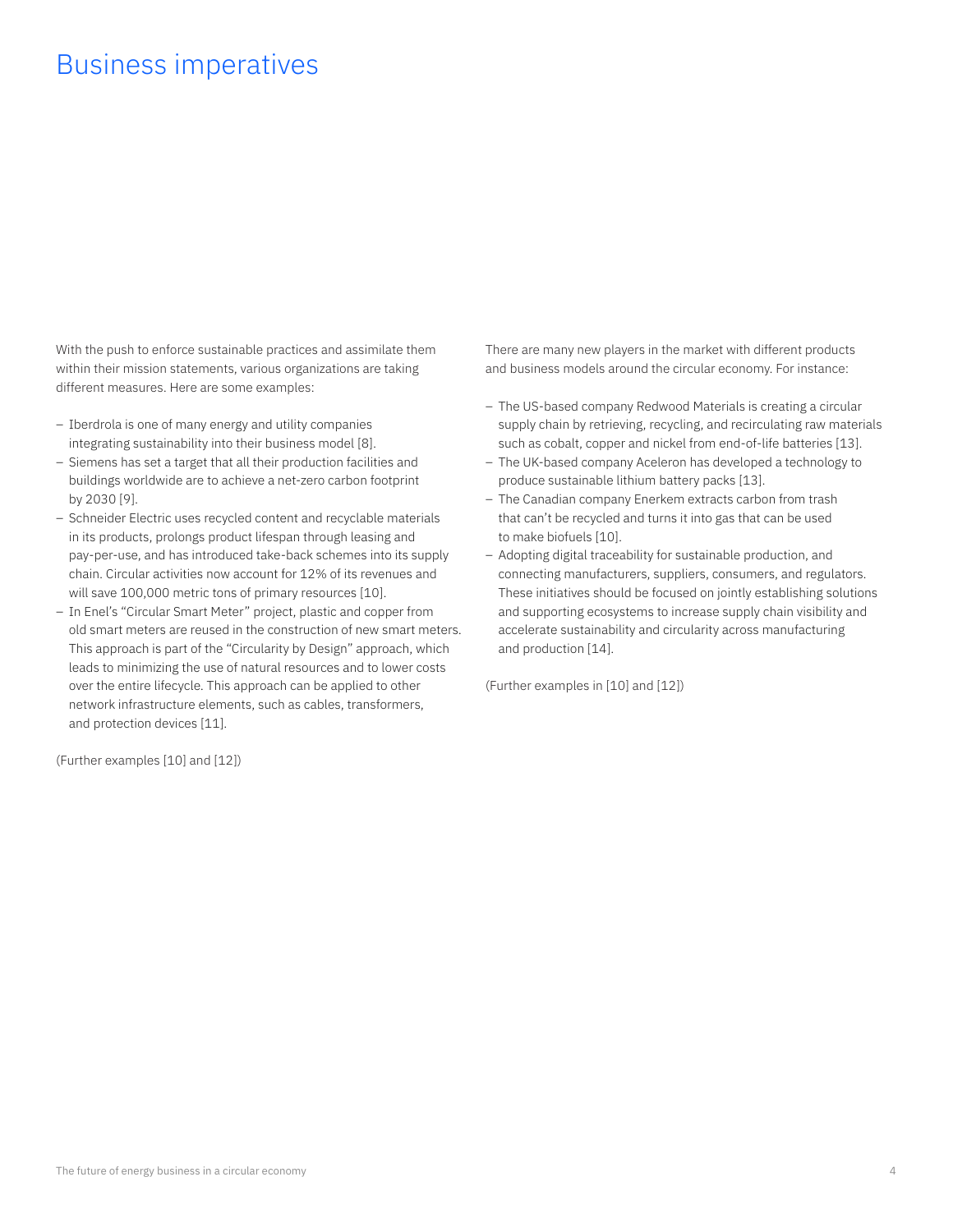#### Business imperatives

With the push to enforce sustainable practices and assimilate them within their mission statements, various organizations are taking different measures. Here are some examples:

- Iberdrola is one of many energy and utility companies integrating sustainability into their business model [8].
- Siemens has set a target that all their production facilities and buildings worldwide are to achieve a net-zero carbon footprint by 2030 [9].
- Schneider Electric uses recycled content and recyclable materials in its products, prolongs product lifespan through leasing and pay-per-use, and has introduced take-back schemes into its supply chain. Circular activities now account for 12% of its revenues and will save 100,000 metric tons of primary resources [10].
- In Enel's "Circular Smart Meter" project, plastic and copper from old smart meters are reused in the construction of new smart meters. This approach is part of the "Circularity by Design" approach, which leads to minimizing the use of natural resources and to lower costs over the entire lifecycle. This approach can be applied to other network infrastructure elements, such as cables, transformers, and protection devices [11].

(Further examples [10] and [12])

There are many new players in the market with different products and business models around the circular economy. For instance:

- The US-based company Redwood Materials is creating a circular supply chain by retrieving, recycling, and recirculating raw materials such as cobalt, copper and nickel from end-of-life batteries [13].
- The UK-based company Aceleron has developed a technology to produce sustainable lithium battery packs [13].
- The Canadian company Enerkem extracts carbon from trash that can't be recycled and turns it into gas that can be used to make biofuels [10].
- Adopting digital traceability for sustainable production, and connecting manufacturers, suppliers, consumers, and regulators. These initiatives should be focused on jointly establishing solutions and supporting ecosystems to increase supply chain visibility and accelerate sustainability and circularity across manufacturing and production [14].

(Further examples in [10] and [12])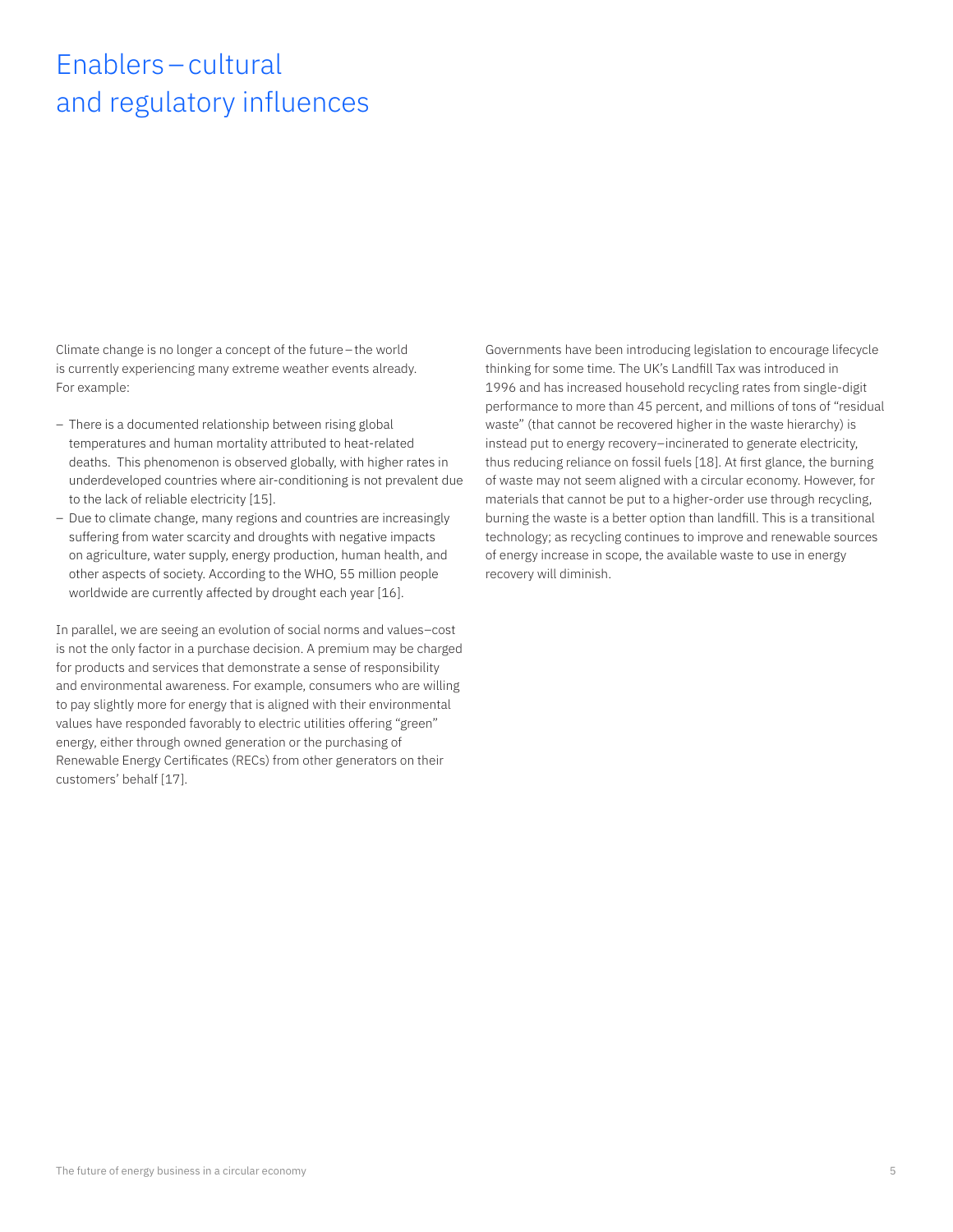# Enablers–cultural and regulatory influences

Climate change is no longer a concept of the future–the world is currently experiencing many extreme weather events already. For example:

- There is a documented relationship between rising global temperatures and human mortality attributed to heat-related deaths. This phenomenon is observed globally, with higher rates in underdeveloped countries where air-conditioning is not prevalent due to the lack of reliable electricity [15].
- Due to climate change, many regions and countries are increasingly suffering from water scarcity and droughts with negative impacts on agriculture, water supply, energy production, human health, and other aspects of society. According to the WHO, 55 million people worldwide are currently affected by drought each year [16].

In parallel, we are seeing an evolution of social norms and values–cost is not the only factor in a purchase decision. A premium may be charged for products and services that demonstrate a sense of responsibility and environmental awareness. For example, consumers who are willing to pay slightly more for energy that is aligned with their environmental values have responded favorably to electric utilities offering "green" energy, either through owned generation or the purchasing of Renewable Energy Certificates (RECs) from other generators on their customers' behalf [17].

Governments have been introducing legislation to encourage lifecycle thinking for some time. The UK's Landfill Tax was introduced in 1996 and has increased household recycling rates from single-digit performance to more than 45 percent, and millions of tons of "residual waste" (that cannot be recovered higher in the waste hierarchy) is instead put to energy recovery–incinerated to generate electricity, thus reducing reliance on fossil fuels [18]. At first glance, the burning of waste may not seem aligned with a circular economy. However, for materials that cannot be put to a higher-order use through recycling, burning the waste is a better option than landfill. This is a transitional technology; as recycling continues to improve and renewable sources of energy increase in scope, the available waste to use in energy recovery will diminish.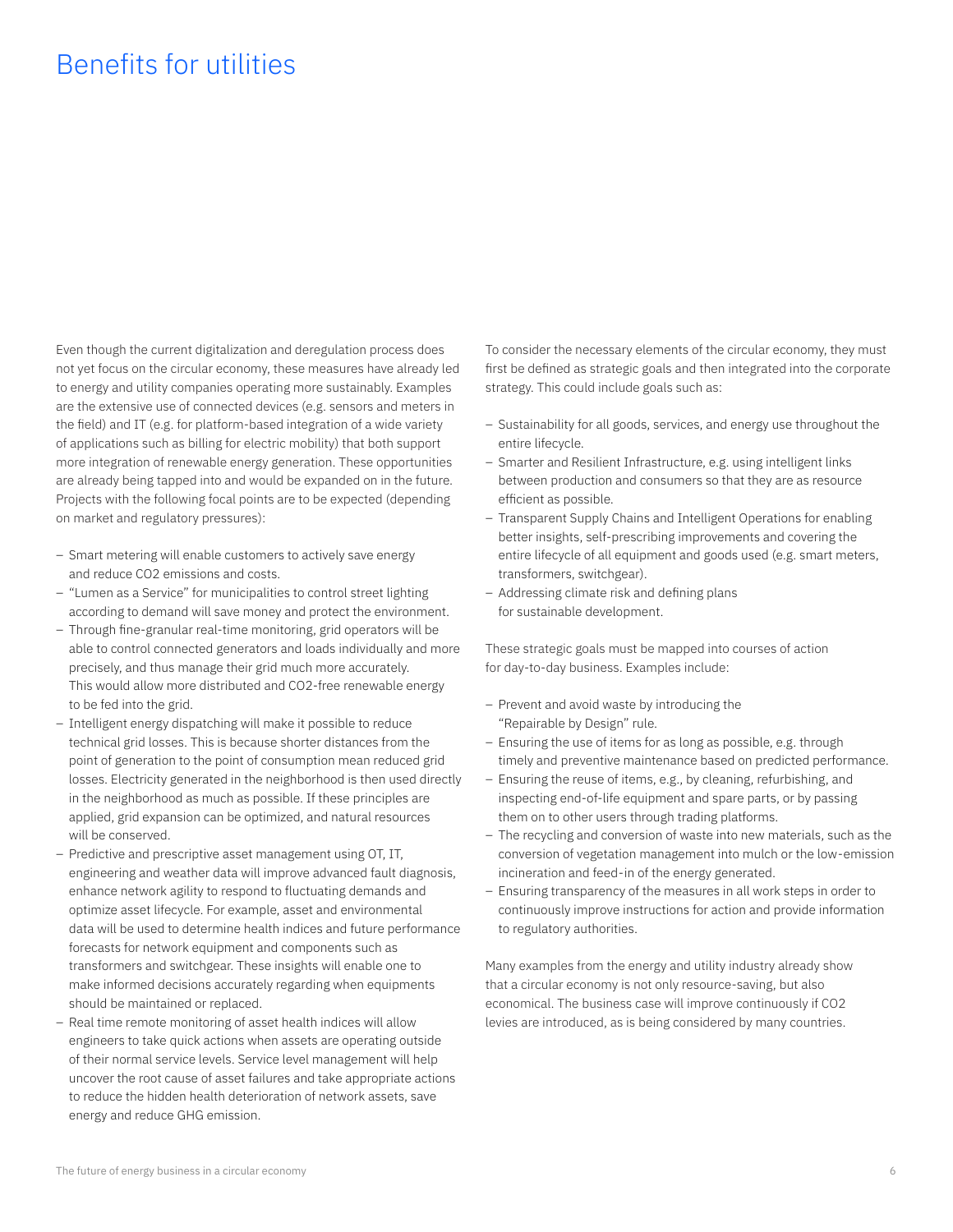### Benefits for utilities

Even though the current digitalization and deregulation process does not yet focus on the circular economy, these measures have already led to energy and utility companies operating more sustainably. Examples are the extensive use of connected devices (e.g. sensors and meters in the field) and IT (e.g. for platform-based integration of a wide variety of applications such as billing for electric mobility) that both support more integration of renewable energy generation. These opportunities are already being tapped into and would be expanded on in the future. Projects with the following focal points are to be expected (depending on market and regulatory pressures):

- Smart metering will enable customers to actively save energy and reduce CO2 emissions and costs.
- "Lumen as a Service" for municipalities to control street lighting according to demand will save money and protect the environment.
- Through fine-granular real-time monitoring, grid operators will be able to control connected generators and loads individually and more precisely, and thus manage their grid much more accurately. This would allow more distributed and CO2-free renewable energy to be fed into the grid.
- Intelligent energy dispatching will make it possible to reduce technical grid losses. This is because shorter distances from the point of generation to the point of consumption mean reduced grid losses. Electricity generated in the neighborhood is then used directly in the neighborhood as much as possible. If these principles are applied, grid expansion can be optimized, and natural resources will be conserved.
- Predictive and prescriptive asset management using OT, IT, engineering and weather data will improve advanced fault diagnosis, enhance network agility to respond to fluctuating demands and optimize asset lifecycle. For example, asset and environmental data will be used to determine health indices and future performance forecasts for network equipment and components such as transformers and switchgear. These insights will enable one to make informed decisions accurately regarding when equipments should be maintained or replaced.
- Real time remote monitoring of asset health indices will allow engineers to take quick actions when assets are operating outside of their normal service levels. Service level management will help uncover the root cause of asset failures and take appropriate actions to reduce the hidden health deterioration of network assets, save energy and reduce GHG emission.

To consider the necessary elements of the circular economy, they must first be defined as strategic goals and then integrated into the corporate strategy. This could include goals such as:

- Sustainability for all goods, services, and energy use throughout the entire lifecycle.
- Smarter and Resilient Infrastructure, e.g. using intelligent links between production and consumers so that they are as resource efficient as possible.
- Transparent Supply Chains and Intelligent Operations for enabling better insights, self-prescribing improvements and covering the entire lifecycle of all equipment and goods used (e.g. smart meters, transformers, switchgear).
- Addressing climate risk and defining plans for sustainable development.

These strategic goals must be mapped into courses of action for day-to-day business. Examples include:

- Prevent and avoid waste by introducing the "Repairable by Design" rule.
- Ensuring the use of items for as long as possible, e.g. through timely and preventive maintenance based on predicted performance.
- Ensuring the reuse of items, e.g., by cleaning, refurbishing, and inspecting end-of-life equipment and spare parts, or by passing them on to other users through trading platforms.
- The recycling and conversion of waste into new materials, such as the conversion of vegetation management into mulch or the low-emission incineration and feed-in of the energy generated.
- Ensuring transparency of the measures in all work steps in order to continuously improve instructions for action and provide information to regulatory authorities.

Many examples from the energy and utility industry already show that a circular economy is not only resource-saving, but also economical. The business case will improve continuously if CO2 levies are introduced, as is being considered by many countries.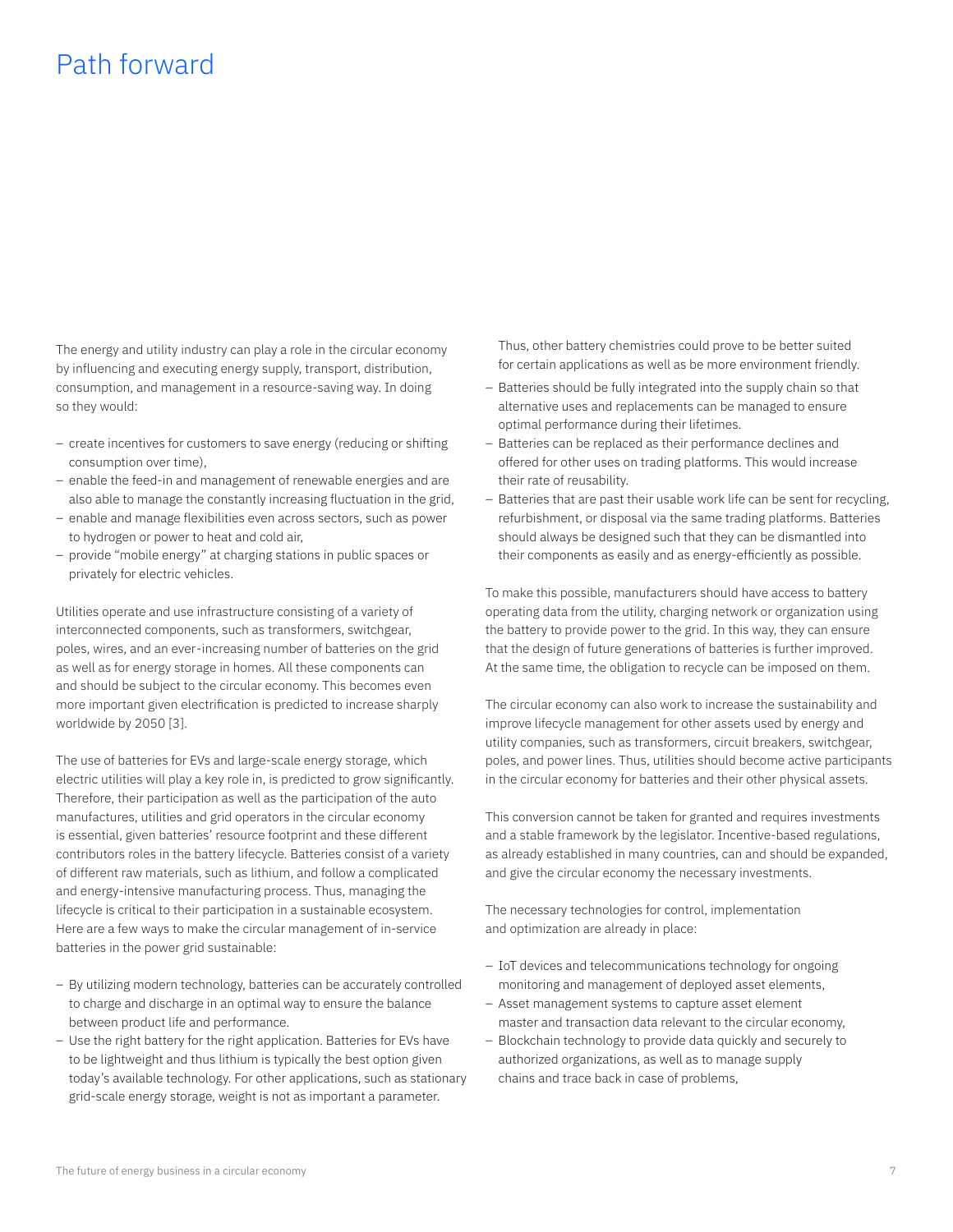### Path forward

The energy and utility industry can play a role in the circular economy by influencing and executing energy supply, transport, distribution, consumption, and management in a resource-saving way. In doing so they would:

- create incentives for customers to save energy (reducing or shifting consumption over time),
- enable the feed-in and management of renewable energies and are also able to manage the constantly increasing fluctuation in the grid,
- enable and manage flexibilities even across sectors, such as power to hydrogen or power to heat and cold air,
- provide "mobile energy" at charging stations in public spaces or privately for electric vehicles.

Utilities operate and use infrastructure consisting of a variety of interconnected components, such as transformers, switchgear, poles, wires, and an ever-increasing number of batteries on the grid as well as for energy storage in homes. All these components can and should be subject to the circular economy. This becomes even more important given electrification is predicted to increase sharply worldwide by 2050 [3].

The use of batteries for EVs and large-scale energy storage, which electric utilities will play a key role in, is predicted to grow significantly. Therefore, their participation as well as the participation of the auto manufactures, utilities and grid operators in the circular economy is essential, given batteries' resource footprint and these different contributors roles in the battery lifecycle. Batteries consist of a variety of different raw materials, such as lithium, and follow a complicated and energy-intensive manufacturing process. Thus, managing the lifecycle is critical to their participation in a sustainable ecosystem. Here are a few ways to make the circular management of in-service batteries in the power grid sustainable:

- By utilizing modern technology, batteries can be accurately controlled to charge and discharge in an optimal way to ensure the balance between product life and performance.
- Use the right battery for the right application. Batteries for EVs have to be lightweight and thus lithium is typically the best option given today's available technology. For other applications, such as stationary grid-scale energy storage, weight is not as important a parameter.

Thus, other battery chemistries could prove to be better suited for certain applications as well as be more environment friendly.

- Batteries should be fully integrated into the supply chain so that alternative uses and replacements can be managed to ensure optimal performance during their lifetimes.
- Batteries can be replaced as their performance declines and offered for other uses on trading platforms. This would increase their rate of reusability.
- Batteries that are past their usable work life can be sent for recycling, refurbishment, or disposal via the same trading platforms. Batteries should always be designed such that they can be dismantled into their components as easily and as energy-efficiently as possible.

To make this possible, manufacturers should have access to battery operating data from the utility, charging network or organization using the battery to provide power to the grid. In this way, they can ensure that the design of future generations of batteries is further improved. At the same time, the obligation to recycle can be imposed on them.

The circular economy can also work to increase the sustainability and improve lifecycle management for other assets used by energy and utility companies, such as transformers, circuit breakers, switchgear, poles, and power lines. Thus, utilities should become active participants in the circular economy for batteries and their other physical assets.

This conversion cannot be taken for granted and requires investments and a stable framework by the legislator. Incentive-based regulations, as already established in many countries, can and should be expanded, and give the circular economy the necessary investments.

The necessary technologies for control, implementation and optimization are already in place:

- IoT devices and telecommunications technology for ongoing monitoring and management of deployed asset elements,
- Asset management systems to capture asset element master and transaction data relevant to the circular economy,
- Blockchain technology to provide data quickly and securely to authorized organizations, as well as to manage supply chains and trace back in case of problems,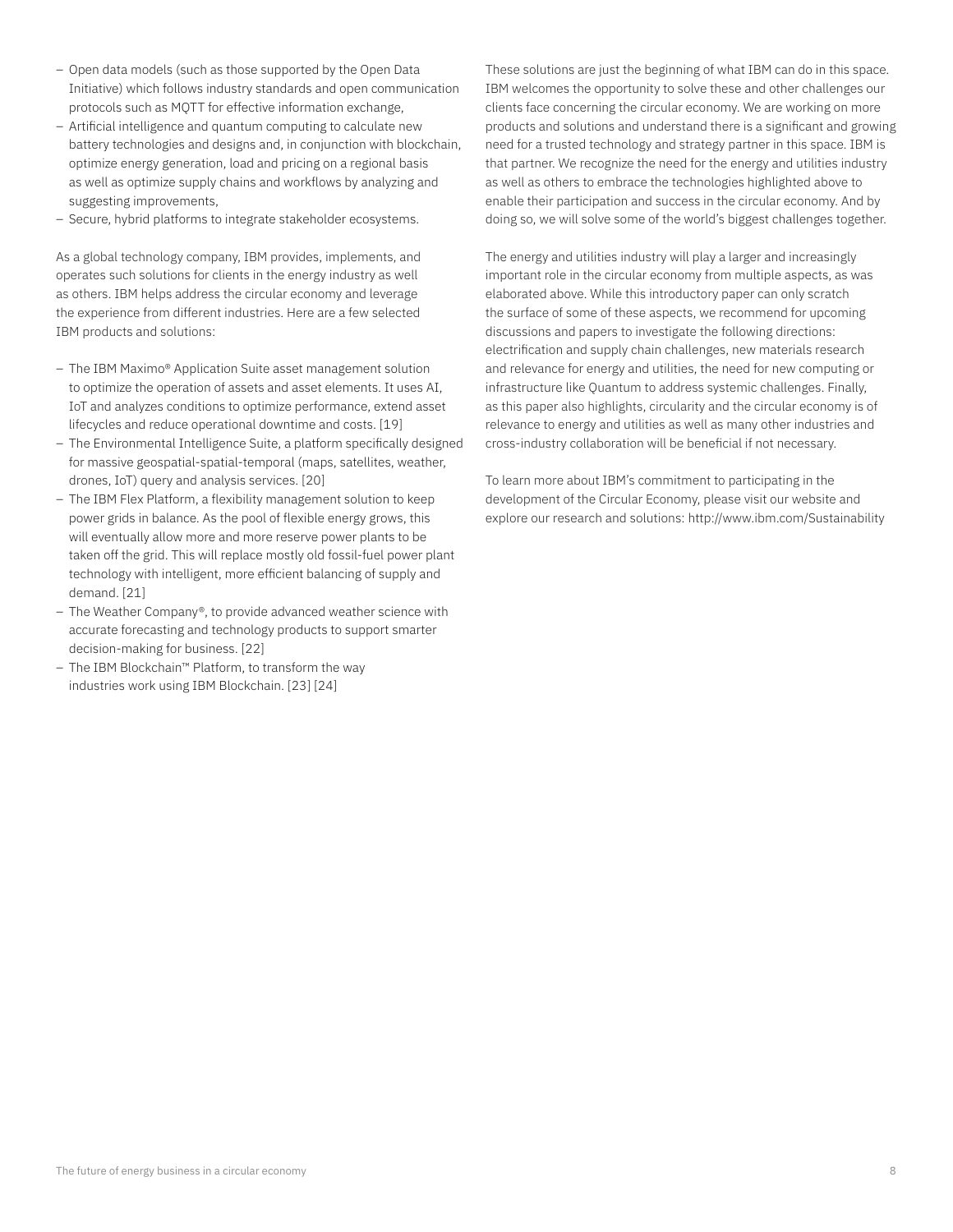- Open data models (such as those supported by the Open Data Initiative) which follows industry standards and open communication protocols such as MQTT for effective information exchange,
- Artificial intelligence and quantum computing to calculate new battery technologies and designs and, in conjunction with blockchain, optimize energy generation, load and pricing on a regional basis as well as optimize supply chains and workflows by analyzing and suggesting improvements,
- Secure, hybrid platforms to integrate stakeholder ecosystems.

As a global technology company, IBM provides, implements, and operates such solutions for clients in the energy industry as well as others. IBM helps address the circular economy and leverage the experience from different industries. Here are a few selected IBM products and solutions:

- The IBM Maximo® Application Suite asset management solution to optimize the operation of assets and asset elements. It uses AI, IoT and analyzes conditions to optimize performance, extend asset lifecycles and reduce operational downtime and costs. [19]
- The Environmental Intelligence Suite, a platform specifically designed for massive geospatial-spatial-temporal (maps, satellites, weather, drones, IoT) query and analysis services. [20]
- The IBM Flex Platform, a flexibility management solution to keep power grids in balance. As the pool of flexible energy grows, this will eventually allow more and more reserve power plants to be taken off the grid. This will replace mostly old fossil-fuel power plant technology with intelligent, more efficient balancing of supply and demand. [21]
- The Weather Company®, to provide advanced weather science with accurate forecasting and technology products to support smarter decision-making for business. [22]
- The IBM Blockchain™ Platform, to transform the way industries work using IBM Blockchain. [23] [24]

These solutions are just the beginning of what IBM can do in this space. IBM welcomes the opportunity to solve these and other challenges our clients face concerning the circular economy. We are working on more products and solutions and understand there is a significant and growing need for a trusted technology and strategy partner in this space. IBM is that partner. We recognize the need for the energy and utilities industry as well as others to embrace the technologies highlighted above to enable their participation and success in the circular economy. And by doing so, we will solve some of the world's biggest challenges together.

The energy and utilities industry will play a larger and increasingly important role in the circular economy from multiple aspects, as was elaborated above. While this introductory paper can only scratch the surface of some of these aspects, we recommend for upcoming discussions and papers to investigate the following directions: electrification and supply chain challenges, new materials research and relevance for energy and utilities, the need for new computing or infrastructure like Quantum to address systemic challenges. Finally, as this paper also highlights, circularity and the circular economy is of relevance to energy and utilities as well as many other industries and cross-industry collaboration will be beneficial if not necessary.

To learn more about IBM's commitment to participating in the development of the Circular Economy, please visit our website and explore our research and solutions: http://www.ibm.com/Sustainability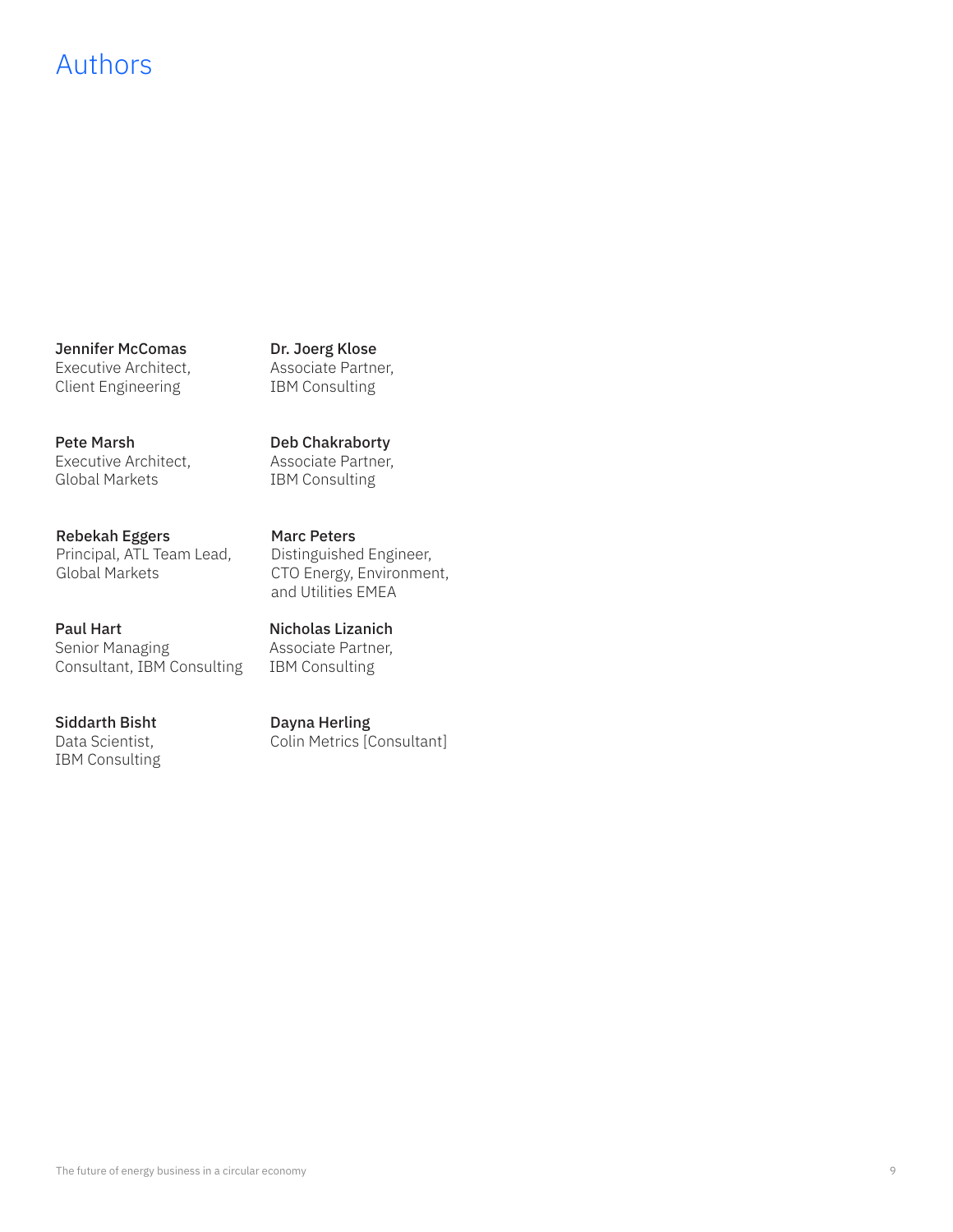## Authors

Jennifer McComas Executive Architect, Client Engineering

Dr. Joerg Klose Associate Partner, IBM Consulting

Deb Chakraborty Associate Partner, IBM Consulting

Pete Marsh Executive Architect, Global Markets

Rebekah Eggers Principal, ATL Team Lead, Global Markets

Paul Hart Senior Managing Consultant, IBM Consulting

Siddarth Bisht Data Scientist, IBM Consulting Marc Peters Distinguished Engineer, CTO Energy, Environment, and Utilities EMEA

Nicholas Lizanich Associate Partner, IBM Consulting

Dayna Herling Colin Metrics [Consultant]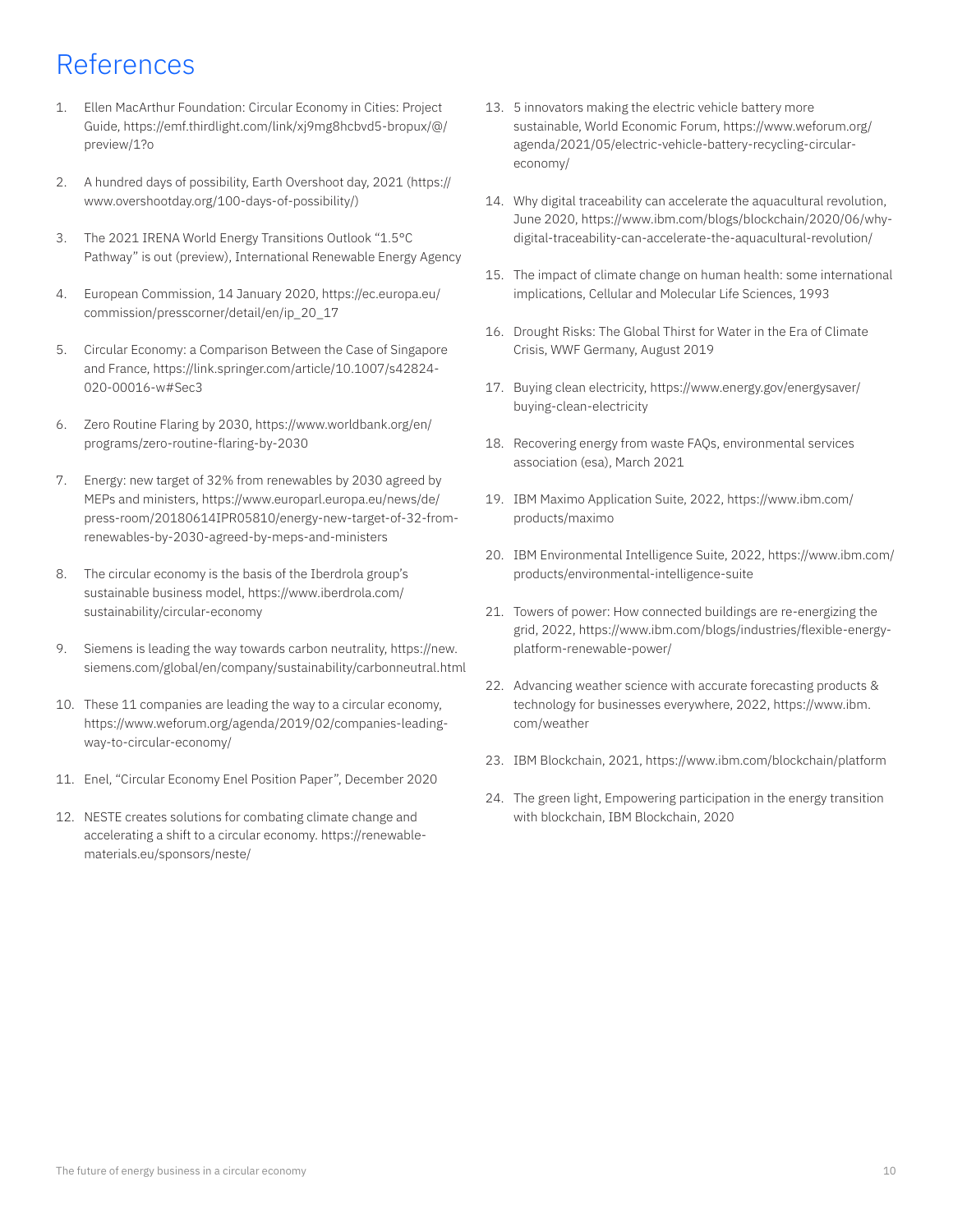# References

- 1. Ellen MacArthur Foundation: Circular Economy in Cities: Project Guide, https://emf.thirdlight.com/link/xj9mg8hcbvd5-bropux/@/ preview/1?o
- 2. A hundred days of possibility, Earth Overshoot day, 2021 (https:// www.overshootday.org/100-days-of-possibility/)
- 3. The 2021 IRENA World Energy Transitions Outlook "1.5°C Pathway" is out (preview), International Renewable Energy Agency
- 4. European Commission, 14 January 2020, https://ec.europa.eu/ commission/presscorner/detail/en/ip\_20\_17
- 5. Circular Economy: a Comparison Between the Case of Singapore and France, https://link.springer.com/article/10.1007/s42824- 020-00016-w#Sec3
- 6. Zero Routine Flaring by 2030, https://www.worldbank.org/en/ programs/zero-routine-flaring-by-2030
- 7. Energy: new target of 32% from renewables by 2030 agreed by MEPs and ministers, https://www.europarl.europa.eu/news/de/ press-room/20180614IPR05810/energy-new-target-of-32-fromrenewables-by-2030-agreed-by-meps-and-ministers
- 8. The circular economy is the basis of the Iberdrola group's sustainable business model, https://www.iberdrola.com/ sustainability/circular-economy
- 9. Siemens is leading the way towards carbon neutrality, https://new. siemens.com/global/en/company/sustainability/carbonneutral.html
- 10. These 11 companies are leading the way to a circular economy, https://www.weforum.org/agenda/2019/02/companies-leadingway-to-circular-economy/
- 11. Enel, "Circular Economy Enel Position Paper", December 2020
- 12. NESTE creates solutions for combating climate change and accelerating a shift to a circular economy. https://renewablematerials.eu/sponsors/neste/
- 13. 5 innovators making the electric vehicle battery more sustainable, World Economic Forum, https://www.weforum.org/ agenda/2021/05/electric-vehicle-battery-recycling-circulareconomy/
- 14. Why digital traceability can accelerate the aquacultural revolution, June 2020, https://www.ibm.com/blogs/blockchain/2020/06/whydigital-traceability-can-accelerate-the-aquacultural-revolution/
- 15. The impact of climate change on human health: some international implications, Cellular and Molecular Life Sciences, 1993
- 16. Drought Risks: The Global Thirst for Water in the Era of Climate Crisis, WWF Germany, August 2019
- 17. Buying clean electricity, https://www.energy.gov/energysaver/ buying-clean-electricity
- 18. Recovering energy from waste FAQs, environmental services association (esa), March 2021
- 19. IBM Maximo Application Suite, 2022, https://www.ibm.com/ products/maximo
- 20. IBM Environmental Intelligence Suite, 2022, https://www.ibm.com/ products/environmental-intelligence-suite
- 21. Towers of power: How connected buildings are re-energizing the grid, 2022, https://www.ibm.com/blogs/industries/flexible-energyplatform-renewable-power/
- 22. Advancing weather science with accurate forecasting products & technology for businesses everywhere, 2022, https://www.ibm. com/weather
- 23. IBM Blockchain, 2021, https://www.ibm.com/blockchain/platform
- 24. The green light, Empowering participation in the energy transition with blockchain, IBM Blockchain, 2020